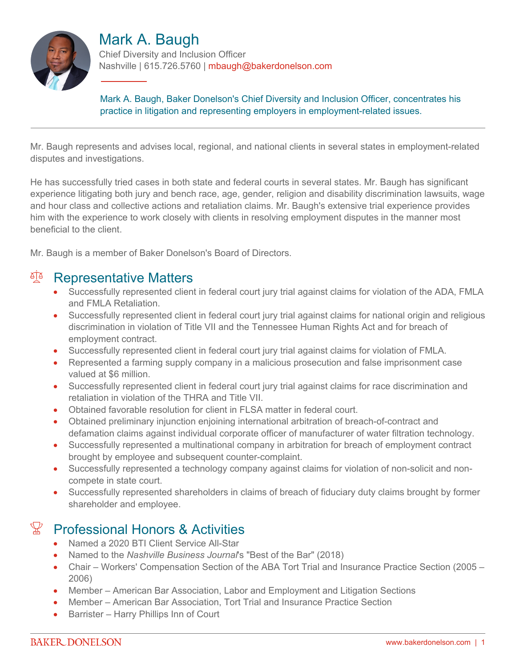

#### Mark A. Baugh Chief Diversity and Inclusion Officer Nashville | 615.726.5760 | mbaugh@bakerdonelson.com

Mark A. Baugh, Baker Donelson's Chief Diversity and Inclusion Officer, concentrates his practice in litigation and representing employers in employment-related issues.

Mr. Baugh represents and advises local, regional, and national clients in several states in employment-related disputes and investigations.

He has successfully tried cases in both state and federal courts in several states. Mr. Baugh has significant experience litigating both jury and bench race, age, gender, religion and disability discrimination lawsuits, wage and hour class and collective actions and retaliation claims. Mr. Baugh's extensive trial experience provides him with the experience to work closely with clients in resolving employment disputes in the manner most beneficial to the client.

Mr. Baugh is a member of Baker Donelson's Board of Directors.

## aja Representative Matters

- Successfully represented client in federal court jury trial against claims for violation of the ADA, FMLA and FMLA Retaliation.
- Successfully represented client in federal court jury trial against claims for national origin and religious discrimination in violation of Title VII and the Tennessee Human Rights Act and for breach of employment contract.
- Successfully represented client in federal court jury trial against claims for violation of FMLA.
- Represented a farming supply company in a malicious prosecution and false imprisonment case valued at \$6 million.
- Successfully represented client in federal court jury trial against claims for race discrimination and retaliation in violation of the THRA and Title VII.
- Obtained favorable resolution for client in FLSA matter in federal court.
- Obtained preliminary injunction enjoining international arbitration of breach-of-contract and defamation claims against individual corporate officer of manufacturer of water filtration technology.
- Successfully represented a multinational company in arbitration for breach of employment contract brought by employee and subsequent counter-complaint.
- Successfully represented a technology company against claims for violation of non-solicit and noncompete in state court.
- Successfully represented shareholders in claims of breach of fiduciary duty claims brought by former shareholder and employee.

# $\mathbb{X}$  Professional Honors & Activities

- Named a 2020 BTI Client Service All-Star
- Named to the *Nashville Business Journal*'s "Best of the Bar" (2018)
- Chair Workers' Compensation Section of the ABA Tort Trial and Insurance Practice Section (2005 2006)
- Member American Bar Association, Labor and Employment and Litigation Sections
- Member American Bar Association, Tort Trial and Insurance Practice Section
- Barrister Harry Phillips Inn of Court